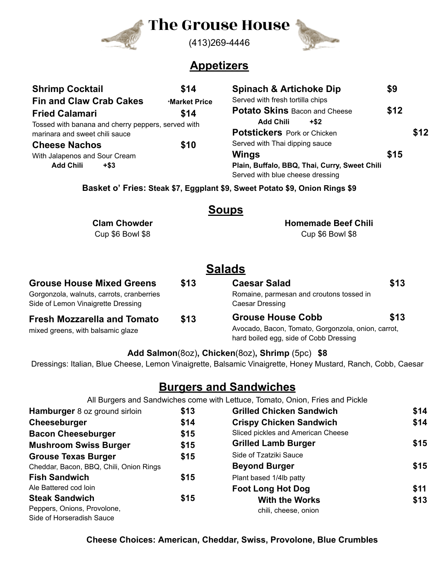

# The Grouse House



#### (413)269-4446

## **Appetizers**

| <b>Shrimp Cocktail</b>                             | \$14          | <b>Spinach &amp; Artichoke Dip</b>            | \$9  |      |
|----------------------------------------------------|---------------|-----------------------------------------------|------|------|
| <b>Fin and Claw Crab Cakes</b>                     | *Market Price | Served with fresh tortilla chips              |      |      |
| <b>Fried Calamari</b>                              | \$14          | <b>Potato Skins Bacon and Cheese</b>          | \$12 |      |
| Tossed with banana and cherry peppers, served with |               | <b>Add Chili</b><br>$+$ \$2                   |      |      |
| marinara and sweet chili sauce                     |               | <b>Potstickers</b> Pork or Chicken            |      | \$12 |
| <b>Cheese Nachos</b>                               | \$10          | Served with Thai dipping sauce                |      |      |
| With Jalapenos and Sour Cream                      |               | <b>Wings</b>                                  | \$15 |      |
| <b>Add Chili</b><br>$+$ \$3                        |               | Plain, Buffalo, BBQ, Thai, Curry, Sweet Chili |      |      |
|                                                    |               | Served with blue cheese dressing              |      |      |

**Basket o' Fries: Steak \$7, Eggplant \$9, Sweet Potato \$9, Onion Rings \$9**

#### **Soups**

**Clam Chowder** Cup \$6 Bowl \$8

**Homemade Beef Chili** Cup \$6 Bowl \$8

# **Salads**

| <b>Grouse House Mixed Greens</b>                                                | \$13 | <b>Caesar Salad</b>                                                                                                              | \$13 |
|---------------------------------------------------------------------------------|------|----------------------------------------------------------------------------------------------------------------------------------|------|
| Gorgonzola, walnuts, carrots, cranberries<br>Side of Lemon Vinaigrette Dressing |      | Romaine, parmesan and croutons tossed in<br>Caesar Dressing                                                                      |      |
| <b>Fresh Mozzarella and Tomato</b><br>mixed greens, with balsamic glaze         | \$13 | \$13<br><b>Grouse House Cobb</b><br>Avocado, Bacon, Tomato, Gorgonzola, onion, carrot,<br>hard boiled egg, side of Cobb Dressing |      |

#### **Add Salmon**(8oz)**, Chicken**(8oz)**, Shrimp** (5pc) **\$8**

Dressings: Italian, Blue Cheese, Lemon Vinaigrette, Balsamic Vinaigrette, Honey Mustard, Ranch, Cobb, Caesar

# **Burgers and Sandwiches**

All Burgers and Sandwiches come with Lettuce, Tomato, Onion, Fries and Pickle

| Hamburger 8 oz ground sirloin           | \$13 | <b>Grilled Chicken Sandwich</b>    | \$14 |
|-----------------------------------------|------|------------------------------------|------|
| Cheeseburger                            | \$14 | <b>Crispy Chicken Sandwich</b>     | \$14 |
| <b>Bacon Cheeseburger</b>               | \$15 | Sliced pickles and American Cheese |      |
| <b>Mushroom Swiss Burger</b>            | \$15 | <b>Grilled Lamb Burger</b>         | \$15 |
| <b>Grouse Texas Burger</b>              | \$15 | Side of Tzatziki Sauce             |      |
| Cheddar, Bacon, BBQ, Chili, Onion Rings |      | <b>Beyond Burger</b>               | \$15 |
| <b>Fish Sandwich</b>                    | \$15 | Plant based 1/4lb patty            |      |
| Ale Battered cod loin                   |      | <b>Foot Long Hot Dog</b>           | \$11 |
| <b>Steak Sandwich</b>                   | \$15 | <b>With the Works</b>              | \$13 |
| Peppers, Onions, Provolone,             |      | chili, cheese, onion               |      |
| Side of Horseradish Sauce               |      |                                    |      |